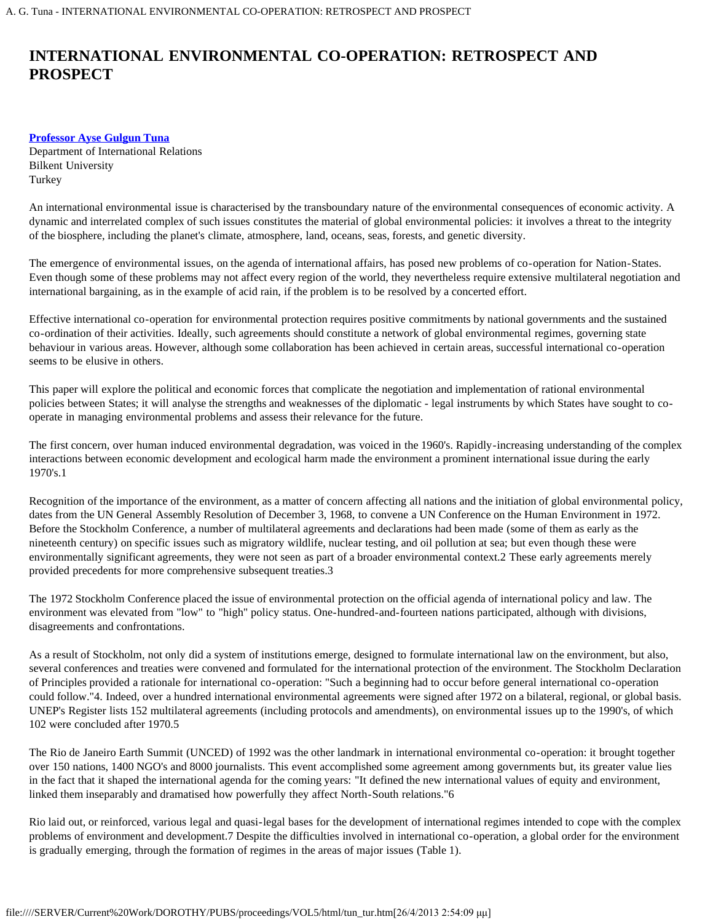## **[Professor Ayse Gulgun Tuna](#page-5-0)**

Department of International Relations Bilkent University Turkey

An international environmental issue is characterised by the transboundary nature of the environmental consequences of economic activity. A dynamic and interrelated complex of such issues constitutes the material of global environmental policies: it involves a threat to the integrity of the biosphere, including the planet's climate, atmosphere, land, oceans, seas, forests, and genetic diversity.

The emergence of environmental issues, on the agenda of international affairs, has posed new problems of co-operation for Nation-States. Even though some of these problems may not affect every region of the world, they nevertheless require extensive multilateral negotiation and international bargaining, as in the example of acid rain, if the problem is to be resolved by a concerted effort.

Effective international co-operation for environmental protection requires positive commitments by national governments and the sustained co-ordination of their activities. Ideally, such agreements should constitute a network of global environmental regimes, governing state behaviour in various areas. However, although some collaboration has been achieved in certain areas, successful international co-operation seems to be elusive in others.

This paper will explore the political and economic forces that complicate the negotiation and implementation of rational environmental policies between States; it will analyse the strengths and weaknesses of the diplomatic - legal instruments by which States have sought to cooperate in managing environmental problems and assess their relevance for the future.

The first concern, over human induced environmental degradation, was voiced in the 1960's. Rapidly-increasing understanding of the complex interactions between economic development and ecological harm made the environment a prominent international issue during the early 1970's.1

Recognition of the importance of the environment, as a matter of concern affecting all nations and the initiation of global environmental policy, dates from the UN General Assembly Resolution of December 3, 1968, to convene a UN Conference on the Human Environment in 1972. Before the Stockholm Conference, a number of multilateral agreements and declarations had been made (some of them as early as the nineteenth century) on specific issues such as migratory wildlife, nuclear testing, and oil pollution at sea; but even though these were environmentally significant agreements, they were not seen as part of a broader environmental context.2 These early agreements merely provided precedents for more comprehensive subsequent treaties.3

The 1972 Stockholm Conference placed the issue of environmental protection on the official agenda of international policy and law. The environment was elevated from "low" to "high" policy status. One-hundred-and-fourteen nations participated, although with divisions, disagreements and confrontations.

As a result of Stockholm, not only did a system of institutions emerge, designed to formulate international law on the environment, but also, several conferences and treaties were convened and formulated for the international protection of the environment. The Stockholm Declaration of Principles provided a rationale for international co-operation: "Such a beginning had to occur before general international co-operation could follow."4. Indeed, over a hundred international environmental agreements were signed after 1972 on a bilateral, regional, or global basis. UNEP's Register lists 152 multilateral agreements (including protocols and amendments), on environmental issues up to the 1990's, of which 102 were concluded after 1970.5

The Rio de Janeiro Earth Summit (UNCED) of 1992 was the other landmark in international environmental co-operation: it brought together over 150 nations, 1400 NGO's and 8000 journalists. This event accomplished some agreement among governments but, its greater value lies in the fact that it shaped the international agenda for the coming years: "It defined the new international values of equity and environment, linked them inseparably and dramatised how powerfully they affect North-South relations."6

Rio laid out, or reinforced, various legal and quasi-legal bases for the development of international regimes intended to cope with the complex problems of environment and development.7 Despite the difficulties involved in international co-operation, a global order for the environment is gradually emerging, through the formation of regimes in the areas of major issues (Table 1).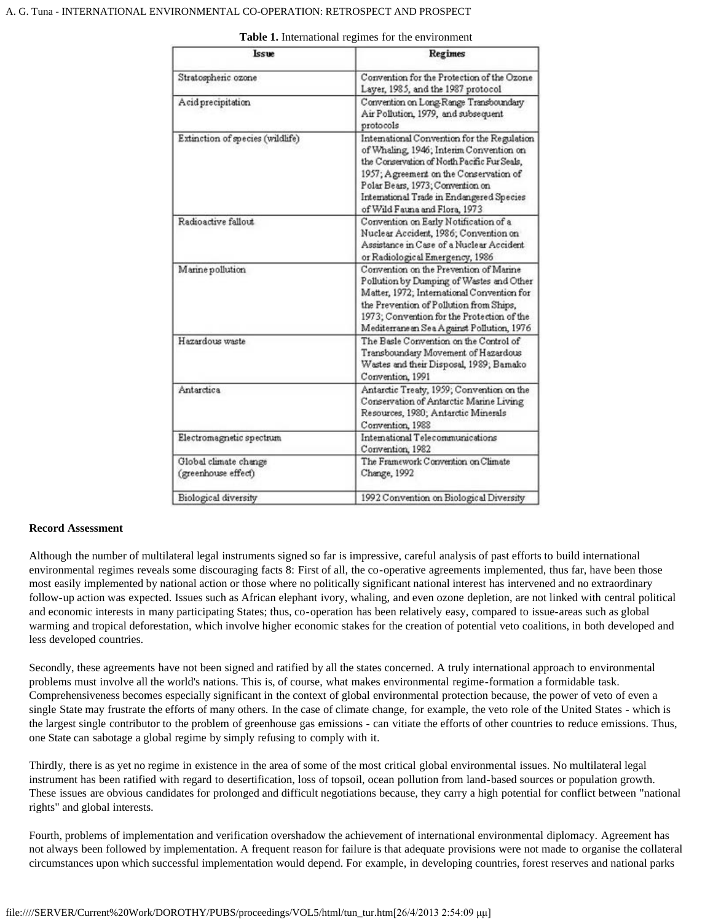| <b>Issue</b>                                 | Regimes                                                                                                                                                                                                                                                                                            |  |  |  |
|----------------------------------------------|----------------------------------------------------------------------------------------------------------------------------------------------------------------------------------------------------------------------------------------------------------------------------------------------------|--|--|--|
| Stratospheric ozone                          | Convention for the Protection of the Ozone<br>Layer, 1985, and the 1987 protocol                                                                                                                                                                                                                   |  |  |  |
| Acid precipitation                           | Convention on Long-Range Transboundary<br>Air Pollution, 1979, and subsequent<br>protocols                                                                                                                                                                                                         |  |  |  |
| Extinction of species (wildlife)             | International Convention for the Regulation<br>of Whaling, 1946; Interim Convention on<br>the Conservation of North Pacific Fur Seals.<br>1957; Agreement on the Conservation of<br>Polar Bears, 1973; Convention on<br>International Trade in Endangered Species<br>of Wild Fauna and Flora, 1973 |  |  |  |
| Radioactive fallout                          | Convention on Early Notification of a<br>Nuclear Accident, 1986; Convention on<br>Assistance in Case of a Nuclear Accident.<br>or Radiological Emergency, 1986                                                                                                                                     |  |  |  |
| Marine pollution                             | Convention on the Prevention of Marine<br>Pollution by Dumping of Wastes and Other<br>Matter, 1972; International Convention for<br>the Prevention of Pollution from Ships,<br>1973; Convention for the Protection of the<br>Mediterranean Sea Against Pollution, 1976                             |  |  |  |
| Hazardous waste                              | The Basle Convention on the Control of<br>Transboundary Movement of Hazardous<br>Wastes and their Disposal, 1989; Bamako<br>Convention, 1991                                                                                                                                                       |  |  |  |
| Antarctica                                   | Antarctic Treaty, 1959; Convention on the<br>Conservation of Antarctic Marine Living<br>Resources, 1980; Antarctic Minerals<br>Convention, 1988                                                                                                                                                    |  |  |  |
| Electromagnetic spectrum                     | International Telecommunications<br>Convention, 1982                                                                                                                                                                                                                                               |  |  |  |
| Global climate change<br>(greenhouse effect) | The Framework Convention on Climate<br>Change, 1992                                                                                                                                                                                                                                                |  |  |  |
| Biological diversity                         | 1992 Convention on Biological Diversity                                                                                                                                                                                                                                                            |  |  |  |

| Table 1. International regimes for the environment |  |  |  |  |
|----------------------------------------------------|--|--|--|--|
|----------------------------------------------------|--|--|--|--|

#### **Record Assessment**

Although the number of multilateral legal instruments signed so far is impressive, careful analysis of past efforts to build international environmental regimes reveals some discouraging facts 8: First of all, the co-operative agreements implemented, thus far, have been those most easily implemented by national action or those where no politically significant national interest has intervened and no extraordinary follow-up action was expected. Issues such as African elephant ivory, whaling, and even ozone depletion, are not linked with central political and economic interests in many participating States; thus, co-operation has been relatively easy, compared to issue-areas such as global warming and tropical deforestation, which involve higher economic stakes for the creation of potential veto coalitions, in both developed and less developed countries.

Secondly, these agreements have not been signed and ratified by all the states concerned. A truly international approach to environmental problems must involve all the world's nations. This is, of course, what makes environmental regime-formation a formidable task. Comprehensiveness becomes especially significant in the context of global environmental protection because, the power of veto of even a single State may frustrate the efforts of many others. In the case of climate change, for example, the veto role of the United States - which is the largest single contributor to the problem of greenhouse gas emissions - can vitiate the efforts of other countries to reduce emissions. Thus, one State can sabotage a global regime by simply refusing to comply with it.

Thirdly, there is as yet no regime in existence in the area of some of the most critical global environmental issues. No multilateral legal instrument has been ratified with regard to desertification, loss of topsoil, ocean pollution from land-based sources or population growth. These issues are obvious candidates for prolonged and difficult negotiations because, they carry a high potential for conflict between "national rights" and global interests.

Fourth, problems of implementation and verification overshadow the achievement of international environmental diplomacy. Agreement has not always been followed by implementation. A frequent reason for failure is that adequate provisions were not made to organise the collateral circumstances upon which successful implementation would depend. For example, in developing countries, forest reserves and national parks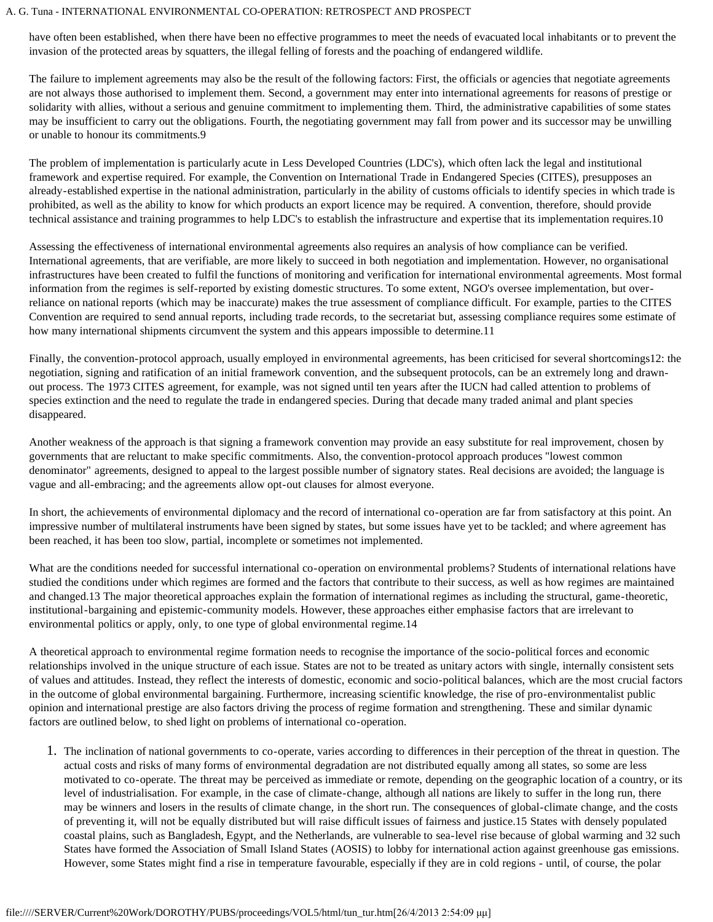have often been established, when there have been no effective programmes to meet the needs of evacuated local inhabitants or to prevent the invasion of the protected areas by squatters, the illegal felling of forests and the poaching of endangered wildlife.

The failure to implement agreements may also be the result of the following factors: First, the officials or agencies that negotiate agreements are not always those authorised to implement them. Second, a government may enter into international agreements for reasons of prestige or solidarity with allies, without a serious and genuine commitment to implementing them. Third, the administrative capabilities of some states may be insufficient to carry out the obligations. Fourth, the negotiating government may fall from power and its successor may be unwilling or unable to honour its commitments.9

The problem of implementation is particularly acute in Less Developed Countries (LDC's), which often lack the legal and institutional framework and expertise required. For example, the Convention on International Trade in Endangered Species (CITES), presupposes an already-established expertise in the national administration, particularly in the ability of customs officials to identify species in which trade is prohibited, as well as the ability to know for which products an export licence may be required. A convention, therefore, should provide technical assistance and training programmes to help LDC's to establish the infrastructure and expertise that its implementation requires.10

Assessing the effectiveness of international environmental agreements also requires an analysis of how compliance can be verified. International agreements, that are verifiable, are more likely to succeed in both negotiation and implementation. However, no organisational infrastructures have been created to fulfil the functions of monitoring and verification for international environmental agreements. Most formal information from the regimes is self-reported by existing domestic structures. To some extent, NGO's oversee implementation, but overreliance on national reports (which may be inaccurate) makes the true assessment of compliance difficult. For example, parties to the CITES Convention are required to send annual reports, including trade records, to the secretariat but, assessing compliance requires some estimate of how many international shipments circumvent the system and this appears impossible to determine.11

Finally, the convention-protocol approach, usually employed in environmental agreements, has been criticised for several shortcomings12: the negotiation, signing and ratification of an initial framework convention, and the subsequent protocols, can be an extremely long and drawnout process. The 1973 CITES agreement, for example, was not signed until ten years after the IUCN had called attention to problems of species extinction and the need to regulate the trade in endangered species. During that decade many traded animal and plant species disappeared.

Another weakness of the approach is that signing a framework convention may provide an easy substitute for real improvement, chosen by governments that are reluctant to make specific commitments. Also, the convention-protocol approach produces "lowest common denominator" agreements, designed to appeal to the largest possible number of signatory states. Real decisions are avoided; the language is vague and all-embracing; and the agreements allow opt-out clauses for almost everyone.

In short, the achievements of environmental diplomacy and the record of international co-operation are far from satisfactory at this point. An impressive number of multilateral instruments have been signed by states, but some issues have yet to be tackled; and where agreement has been reached, it has been too slow, partial, incomplete or sometimes not implemented.

What are the conditions needed for successful international co-operation on environmental problems? Students of international relations have studied the conditions under which regimes are formed and the factors that contribute to their success, as well as how regimes are maintained and changed.13 The major theoretical approaches explain the formation of international regimes as including the structural, game-theoretic, institutional-bargaining and epistemic-community models. However, these approaches either emphasise factors that are irrelevant to environmental politics or apply, only, to one type of global environmental regime.14

A theoretical approach to environmental regime formation needs to recognise the importance of the socio-political forces and economic relationships involved in the unique structure of each issue. States are not to be treated as unitary actors with single, internally consistent sets of values and attitudes. Instead, they reflect the interests of domestic, economic and socio-political balances, which are the most crucial factors in the outcome of global environmental bargaining. Furthermore, increasing scientific knowledge, the rise of pro-environmentalist public opinion and international prestige are also factors driving the process of regime formation and strengthening. These and similar dynamic factors are outlined below, to shed light on problems of international co-operation.

1. The inclination of national governments to co-operate, varies according to differences in their perception of the threat in question. The actual costs and risks of many forms of environmental degradation are not distributed equally among all states, so some are less motivated to co-operate. The threat may be perceived as immediate or remote, depending on the geographic location of a country, or its level of industrialisation. For example, in the case of climate-change, although all nations are likely to suffer in the long run, there may be winners and losers in the results of climate change, in the short run. The consequences of global-climate change, and the costs of preventing it, will not be equally distributed but will raise difficult issues of fairness and justice.15 States with densely populated coastal plains, such as Bangladesh, Egypt, and the Netherlands, are vulnerable to sea-level rise because of global warming and 32 such States have formed the Association of Small Island States (AOSIS) to lobby for international action against greenhouse gas emissions. However, some States might find a rise in temperature favourable, especially if they are in cold regions - until, of course, the polar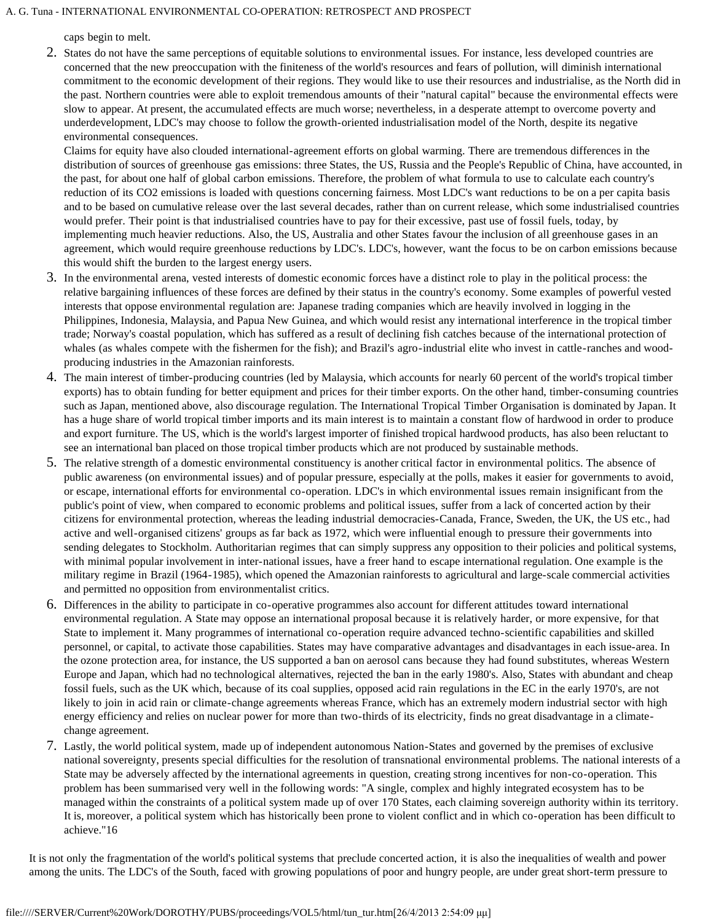caps begin to melt.

2. States do not have the same perceptions of equitable solutions to environmental issues. For instance, less developed countries are concerned that the new preoccupation with the finiteness of the world's resources and fears of pollution, will diminish international commitment to the economic development of their regions. They would like to use their resources and industrialise, as the North did in the past. Northern countries were able to exploit tremendous amounts of their "natural capital" because the environmental effects were slow to appear. At present, the accumulated effects are much worse; nevertheless, in a desperate attempt to overcome poverty and underdevelopment, LDC's may choose to follow the growth-oriented industrialisation model of the North, despite its negative environmental consequences.

Claims for equity have also clouded international-agreement efforts on global warming. There are tremendous differences in the distribution of sources of greenhouse gas emissions: three States, the US, Russia and the People's Republic of China, have accounted, in the past, for about one half of global carbon emissions. Therefore, the problem of what formula to use to calculate each country's reduction of its CO2 emissions is loaded with questions concerning fairness. Most LDC's want reductions to be on a per capita basis and to be based on cumulative release over the last several decades, rather than on current release, which some industrialised countries would prefer. Their point is that industrialised countries have to pay for their excessive, past use of fossil fuels, today, by implementing much heavier reductions. Also, the US, Australia and other States favour the inclusion of all greenhouse gases in an agreement, which would require greenhouse reductions by LDC's. LDC's, however, want the focus to be on carbon emissions because this would shift the burden to the largest energy users.

- 3. In the environmental arena, vested interests of domestic economic forces have a distinct role to play in the political process: the relative bargaining influences of these forces are defined by their status in the country's economy. Some examples of powerful vested interests that oppose environmental regulation are: Japanese trading companies which are heavily involved in logging in the Philippines, Indonesia, Malaysia, and Papua New Guinea, and which would resist any international interference in the tropical timber trade; Norway's coastal population, which has suffered as a result of declining fish catches because of the international protection of whales (as whales compete with the fishermen for the fish); and Brazil's agro-industrial elite who invest in cattle-ranches and woodproducing industries in the Amazonian rainforests.
- 4. The main interest of timber-producing countries (led by Malaysia, which accounts for nearly 60 percent of the world's tropical timber exports) has to obtain funding for better equipment and prices for their timber exports. On the other hand, timber-consuming countries such as Japan, mentioned above, also discourage regulation. The International Tropical Timber Organisation is dominated by Japan. It has a huge share of world tropical timber imports and its main interest is to maintain a constant flow of hardwood in order to produce and export furniture. The US, which is the world's largest importer of finished tropical hardwood products, has also been reluctant to see an international ban placed on those tropical timber products which are not produced by sustainable methods.
- 5. The relative strength of a domestic environmental constituency is another critical factor in environmental politics. The absence of public awareness (on environmental issues) and of popular pressure, especially at the polls, makes it easier for governments to avoid, or escape, international efforts for environmental co-operation. LDC's in which environmental issues remain insignificant from the public's point of view, when compared to economic problems and political issues, suffer from a lack of concerted action by their citizens for environmental protection, whereas the leading industrial democracies-Canada, France, Sweden, the UK, the US etc., had active and well-organised citizens' groups as far back as 1972, which were influential enough to pressure their governments into sending delegates to Stockholm. Authoritarian regimes that can simply suppress any opposition to their policies and political systems, with minimal popular involvement in inter-national issues, have a freer hand to escape international regulation. One example is the military regime in Brazil (1964-1985), which opened the Amazonian rainforests to agricultural and large-scale commercial activities and permitted no opposition from environmentalist critics.
- 6. Differences in the ability to participate in co-operative programmes also account for different attitudes toward international environmental regulation. A State may oppose an international proposal because it is relatively harder, or more expensive, for that State to implement it. Many programmes of international co-operation require advanced techno-scientific capabilities and skilled personnel, or capital, to activate those capabilities. States may have comparative advantages and disadvantages in each issue-area. In the ozone protection area, for instance, the US supported a ban on aerosol cans because they had found substitutes, whereas Western Europe and Japan, which had no technological alternatives, rejected the ban in the early 1980's. Also, States with abundant and cheap fossil fuels, such as the UK which, because of its coal supplies, opposed acid rain regulations in the EC in the early 1970's, are not likely to join in acid rain or climate-change agreements whereas France, which has an extremely modern industrial sector with high energy efficiency and relies on nuclear power for more than two-thirds of its electricity, finds no great disadvantage in a climatechange agreement.
- 7. Lastly, the world political system, made up of independent autonomous Nation-States and governed by the premises of exclusive national sovereignty, presents special difficulties for the resolution of transnational environmental problems. The national interests of a State may be adversely affected by the international agreements in question, creating strong incentives for non-co-operation. This problem has been summarised very well in the following words: "A single, complex and highly integrated ecosystem has to be managed within the constraints of a political system made up of over 170 States, each claiming sovereign authority within its territory. It is, moreover, a political system which has historically been prone to violent conflict and in which co-operation has been difficult to achieve."16

It is not only the fragmentation of the world's political systems that preclude concerted action, it is also the inequalities of wealth and power among the units. The LDC's of the South, faced with growing populations of poor and hungry people, are under great short-term pressure to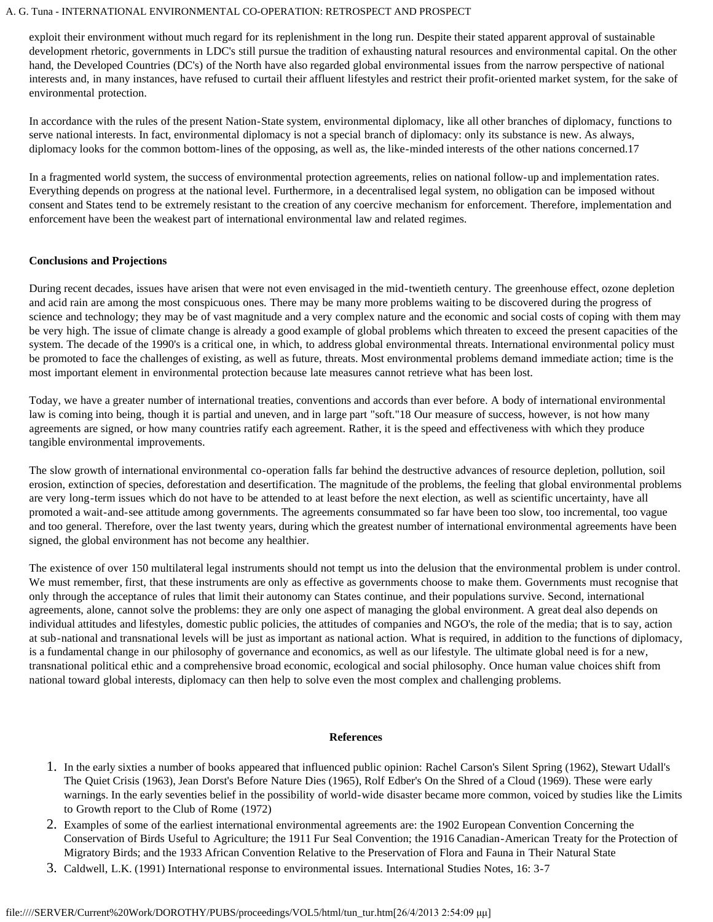exploit their environment without much regard for its replenishment in the long run. Despite their stated apparent approval of sustainable development rhetoric, governments in LDC's still pursue the tradition of exhausting natural resources and environmental capital. On the other hand, the Developed Countries (DC's) of the North have also regarded global environmental issues from the narrow perspective of national interests and, in many instances, have refused to curtail their affluent lifestyles and restrict their profit-oriented market system, for the sake of environmental protection.

In accordance with the rules of the present Nation-State system, environmental diplomacy, like all other branches of diplomacy, functions to serve national interests. In fact, environmental diplomacy is not a special branch of diplomacy: only its substance is new. As always, diplomacy looks for the common bottom-lines of the opposing, as well as, the like-minded interests of the other nations concerned.17

In a fragmented world system, the success of environmental protection agreements, relies on national follow-up and implementation rates. Everything depends on progress at the national level. Furthermore, in a decentralised legal system, no obligation can be imposed without consent and States tend to be extremely resistant to the creation of any coercive mechanism for enforcement. Therefore, implementation and enforcement have been the weakest part of international environmental law and related regimes.

# **Conclusions and Projections**

During recent decades, issues have arisen that were not even envisaged in the mid-twentieth century. The greenhouse effect, ozone depletion and acid rain are among the most conspicuous ones. There may be many more problems waiting to be discovered during the progress of science and technology; they may be of vast magnitude and a very complex nature and the economic and social costs of coping with them may be very high. The issue of climate change is already a good example of global problems which threaten to exceed the present capacities of the system. The decade of the 1990's is a critical one, in which, to address global environmental threats. International environmental policy must be promoted to face the challenges of existing, as well as future, threats. Most environmental problems demand immediate action; time is the most important element in environmental protection because late measures cannot retrieve what has been lost.

Today, we have a greater number of international treaties, conventions and accords than ever before. A body of international environmental law is coming into being, though it is partial and uneven, and in large part "soft."18 Our measure of success, however, is not how many agreements are signed, or how many countries ratify each agreement. Rather, it is the speed and effectiveness with which they produce tangible environmental improvements.

The slow growth of international environmental co-operation falls far behind the destructive advances of resource depletion, pollution, soil erosion, extinction of species, deforestation and desertification. The magnitude of the problems, the feeling that global environmental problems are very long-term issues which do not have to be attended to at least before the next election, as well as scientific uncertainty, have all promoted a wait-and-see attitude among governments. The agreements consummated so far have been too slow, too incremental, too vague and too general. Therefore, over the last twenty years, during which the greatest number of international environmental agreements have been signed, the global environment has not become any healthier.

The existence of over 150 multilateral legal instruments should not tempt us into the delusion that the environmental problem is under control. We must remember, first, that these instruments are only as effective as governments choose to make them. Governments must recognise that only through the acceptance of rules that limit their autonomy can States continue, and their populations survive. Second, international agreements, alone, cannot solve the problems: they are only one aspect of managing the global environment. A great deal also depends on individual attitudes and lifestyles, domestic public policies, the attitudes of companies and NGO's, the role of the media; that is to say, action at sub-national and transnational levels will be just as important as national action. What is required, in addition to the functions of diplomacy, is a fundamental change in our philosophy of governance and economics, as well as our lifestyle. The ultimate global need is for a new, transnational political ethic and a comprehensive broad economic, ecological and social philosophy. Once human value choices shift from national toward global interests, diplomacy can then help to solve even the most complex and challenging problems.

#### **References**

- 1. In the early sixties a number of books appeared that influenced public opinion: Rachel Carson's Silent Spring (1962), Stewart Udall's The Quiet Crisis (1963), Jean Dorst's Before Nature Dies (1965), Rolf Edber's On the Shred of a Cloud (1969). These were early warnings. In the early seventies belief in the possibility of world-wide disaster became more common, voiced by studies like the Limits to Growth report to the Club of Rome (1972)
- 2. Examples of some of the earliest international environmental agreements are: the 1902 European Convention Concerning the Conservation of Birds Useful to Agriculture; the 1911 Fur Seal Convention; the 1916 Canadian-American Treaty for the Protection of Migratory Birds; and the 1933 African Convention Relative to the Preservation of Flora and Fauna in Their Natural State
- 3. Caldwell, L.K. (1991) International response to environmental issues. International Studies Notes, 16: 3-7